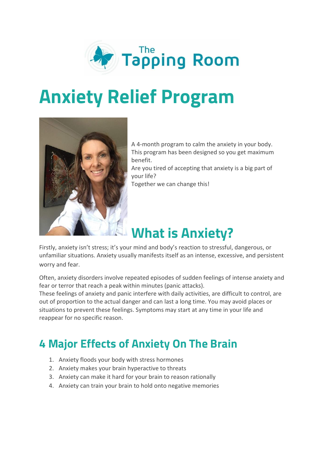

# **Anxiety Relief Program**



A 4-month program to calm the anxiety in your body. This program has been designed so you get maximum benefit.

Are you tired of accepting that anxiety is a big part of your life?

Together we can change this!

## **What is Anxiety?**

Firstly, anxiety isn't stress; it's your mind and body's reaction to stressful, dangerous, or unfamiliar situations. Anxiety usually manifests itself as an intense, excessive, and persistent worry and fear.

Often, anxiety disorders involve repeated episodes of sudden feelings of intense anxiety and fear or terror that reach a peak within minutes (panic attacks).

These feelings of anxiety and panic interfere with daily activities, are difficult to control, are out of proportion to the actual danger and can last a long time. You may avoid places or situations to prevent these feelings. Symptoms may start at any time in your life and reappear for no specific reason.

## **4 Major Effects of Anxiety On The Brain**

- 1. Anxiety floods your body with stress hormones
- 2. Anxiety makes your brain hyperactive to threats
- 3. Anxiety can make it hard for your brain to reason rationally
- 4. Anxiety can train your brain to hold onto negative memories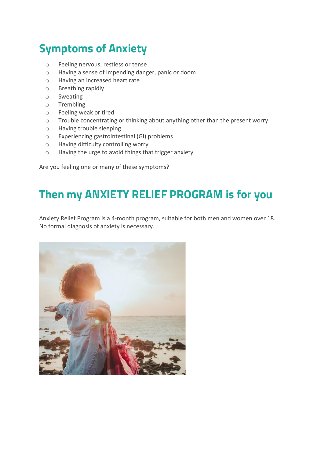## **Symptoms of Anxiety**

- o Feeling nervous, restless or tense
- o Having a sense of impending danger, panic or doom
- o Having an increased heart rate
- o Breathing rapidly
- o Sweating
- o Trembling
- o Feeling weak or tired
- o Trouble concentrating or thinking about anything other than the present worry
- o Having trouble sleeping
- o Experiencing gastrointestinal (GI) problems
- o Having difficulty controlling worry
- o Having the urge to avoid things that trigger anxiety

Are you feeling one or many of these symptoms?

### **Then my ANXIETY RELIEF PROGRAM is for you**

Anxiety Relief Program is a 4-month program, suitable for both men and women over 18. No formal diagnosis of anxiety is necessary.

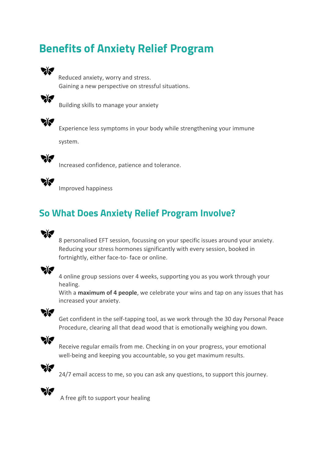## **Benefits of Anxiety Relief Program**



Reduced anxiety, worry and stress. Gaining a new perspective on stressful situations.



Building skills to manage your anxiety



Experience less symptoms in your body while strengthening your immune

system.



Increased confidence, patience and tolerance.



Improved happiness

#### **So What Does Anxiety Relief Program Involve?**



8 personalised EFT session, focussing on your specific issues around your anxiety. Reducing your stress hormones significantly with every session, booked in fortnightly, either face-to- face or online.



 4 online group sessions over 4 weeks, supporting you as you work through your healing.

With a **maximum of 4 people**, we celebrate your wins and tap on any issues that has increased your anxiety.



 Get confident in the self-tapping tool, as we work through the 30 day Personal Peace Procedure, clearing all that dead wood that is emotionally weighing you down.



 Receive regular emails from me. Checking in on your progress, your emotional well-being and keeping you accountable, so you get maximum results.



24/7 email access to me, so you can ask any questions, to support this journey.



A free gift to support your healing